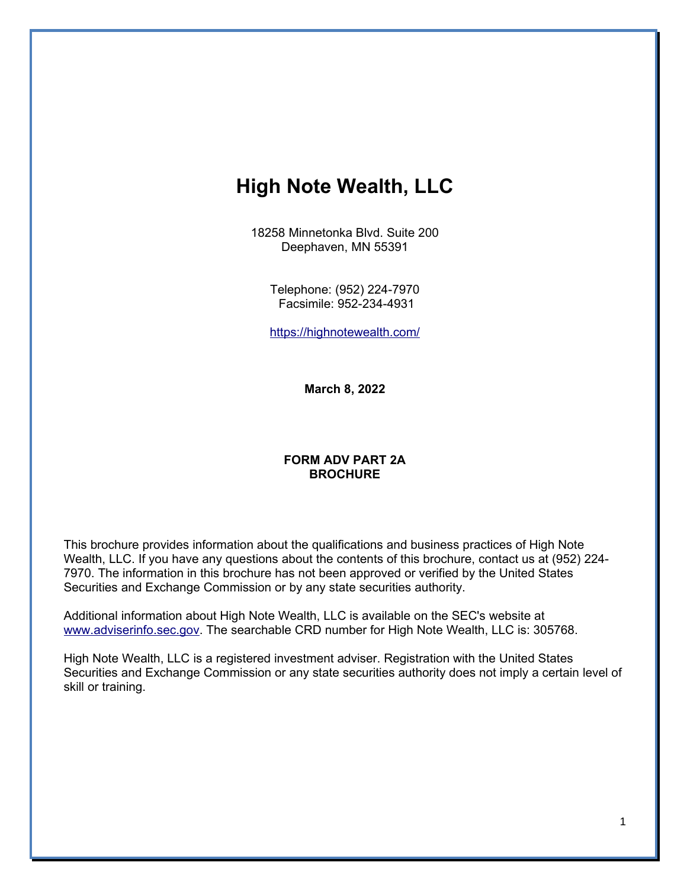# **High Note Wealth, LLC**

18258 Minnetonka Blvd. Suite 200 Deephaven, MN 55391

> Telephone: (952) 224-7970 Facsimile: 952-234-4931

> <https://highnotewealth.com/>

**March 8, 2022**

### **FORM ADV PART 2A BROCHURE**

This brochure provides information about the qualifications and business practices of High Note Wealth, LLC. If you have any questions about the contents of this brochure, contact us at (952) 224- 7970. The information in this brochure has not been approved or verified by the United States Securities and Exchange Commission or by any state securities authority.

Additional information about High Note Wealth, LLC is available on the SEC's website at [www.adviserinfo.sec.gov.](http://www.adviserinfo.sec.gov/) The searchable CRD number for High Note Wealth, LLC is: 305768.

High Note Wealth, LLC is a registered investment adviser. Registration with the United States Securities and Exchange Commission or any state securities authority does not imply a certain level of skill or training.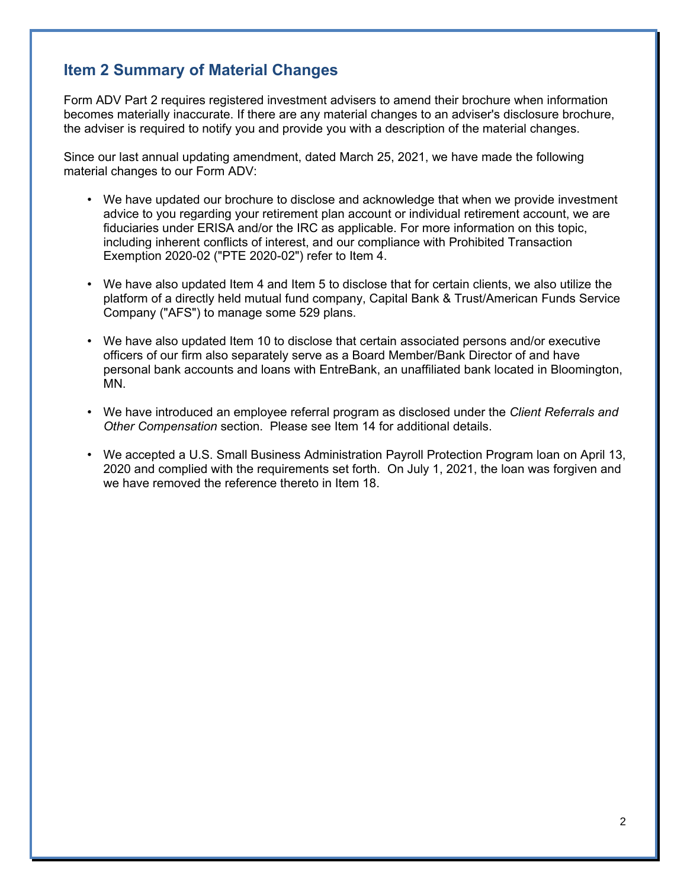# **Item 2 Summary of Material Changes**

Form ADV Part 2 requires registered investment advisers to amend their brochure when information becomes materially inaccurate. If there are any material changes to an adviser's disclosure brochure, the adviser is required to notify you and provide you with a description of the material changes.

Since our last annual updating amendment, dated March 25, 2021, we have made the following material changes to our Form ADV:

- We have updated our brochure to disclose and acknowledge that when we provide investment advice to you regarding your retirement plan account or individual retirement account, we are fiduciaries under ERISA and/or the IRC as applicable. For more information on this topic, including inherent conflicts of interest, and our compliance with Prohibited Transaction Exemption 2020-02 ("PTE 2020-02") refer to Item 4.
- We have also updated Item 4 and Item 5 to disclose that for certain clients, we also utilize the platform of a directly held mutual fund company, Capital Bank & Trust/American Funds Service Company ("AFS") to manage some 529 plans.
- We have also updated Item 10 to disclose that certain associated persons and/or executive officers of our firm also separately serve as a Board Member/Bank Director of and have personal bank accounts and loans with EntreBank, an unaffiliated bank located in Bloomington, MN.
- We have introduced an employee referral program as disclosed under the *Client Referrals and Other Compensation* section. Please see Item 14 for additional details.
- We accepted a U.S. Small Business Administration Payroll Protection Program loan on April 13, 2020 and complied with the requirements set forth. On July 1, 2021, the loan was forgiven and we have removed the reference thereto in Item 18.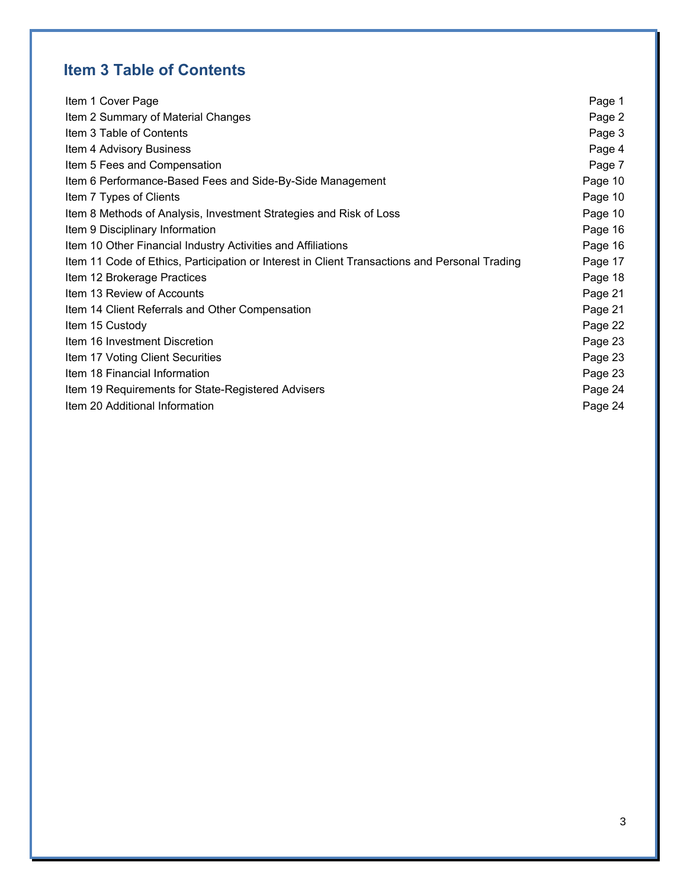# **Item 3 Table of Contents**

| Item 1 Cover Page                                                                             | Page 1  |
|-----------------------------------------------------------------------------------------------|---------|
| Item 2 Summary of Material Changes                                                            | Page 2  |
| Item 3 Table of Contents                                                                      | Page 3  |
| Item 4 Advisory Business                                                                      | Page 4  |
| Item 5 Fees and Compensation                                                                  | Page 7  |
| Item 6 Performance-Based Fees and Side-By-Side Management                                     | Page 10 |
| Item 7 Types of Clients                                                                       | Page 10 |
| Item 8 Methods of Analysis, Investment Strategies and Risk of Loss                            | Page 10 |
| Item 9 Disciplinary Information                                                               | Page 16 |
| Item 10 Other Financial Industry Activities and Affiliations                                  | Page 16 |
| Item 11 Code of Ethics, Participation or Interest in Client Transactions and Personal Trading | Page 17 |
| Item 12 Brokerage Practices                                                                   | Page 18 |
| Item 13 Review of Accounts                                                                    | Page 21 |
| Item 14 Client Referrals and Other Compensation                                               | Page 21 |
| Item 15 Custody                                                                               | Page 22 |
| Item 16 Investment Discretion                                                                 | Page 23 |
| Item 17 Voting Client Securities                                                              | Page 23 |
| Item 18 Financial Information                                                                 | Page 23 |
| Item 19 Requirements for State-Registered Advisers                                            | Page 24 |
| Item 20 Additional Information                                                                | Page 24 |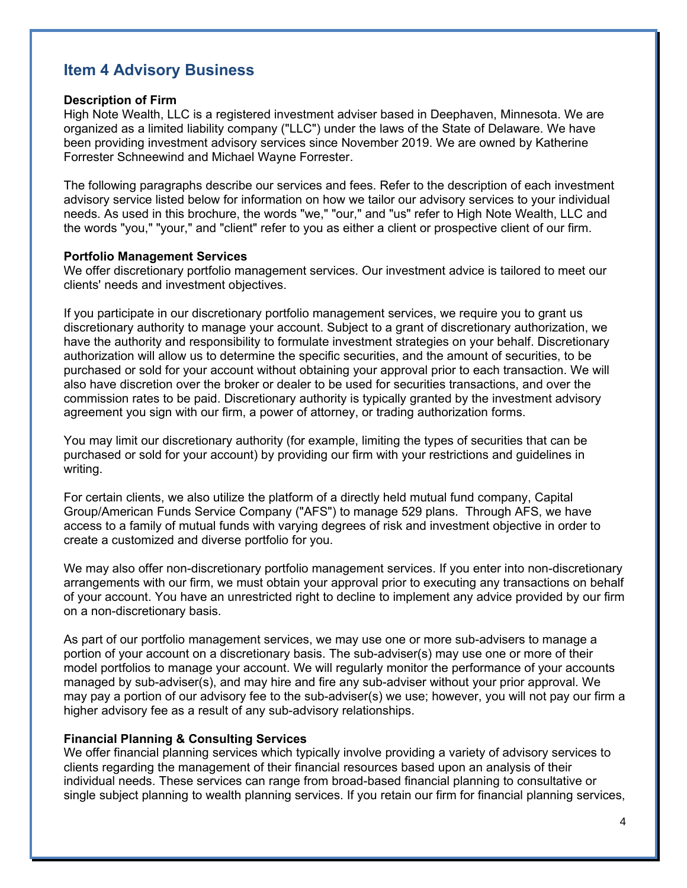# **Item 4 Advisory Business**

#### **Description of Firm**

High Note Wealth, LLC is a registered investment adviser based in Deephaven, Minnesota. We are organized as a limited liability company ("LLC") under the laws of the State of Delaware. We have been providing investment advisory services since November 2019. We are owned by Katherine Forrester Schneewind and Michael Wayne Forrester.

The following paragraphs describe our services and fees. Refer to the description of each investment advisory service listed below for information on how we tailor our advisory services to your individual needs. As used in this brochure, the words "we," "our," and "us" refer to High Note Wealth, LLC and the words "you," "your," and "client" refer to you as either a client or prospective client of our firm.

#### **Portfolio Management Services**

We offer discretionary portfolio management services. Our investment advice is tailored to meet our clients' needs and investment objectives.

If you participate in our discretionary portfolio management services, we require you to grant us discretionary authority to manage your account. Subject to a grant of discretionary authorization, we have the authority and responsibility to formulate investment strategies on your behalf. Discretionary authorization will allow us to determine the specific securities, and the amount of securities, to be purchased or sold for your account without obtaining your approval prior to each transaction. We will also have discretion over the broker or dealer to be used for securities transactions, and over the commission rates to be paid. Discretionary authority is typically granted by the investment advisory agreement you sign with our firm, a power of attorney, or trading authorization forms.

You may limit our discretionary authority (for example, limiting the types of securities that can be purchased or sold for your account) by providing our firm with your restrictions and guidelines in writing.

For certain clients, we also utilize the platform of a directly held mutual fund company, Capital Group/American Funds Service Company ("AFS") to manage 529 plans. Through AFS, we have access to a family of mutual funds with varying degrees of risk and investment objective in order to create a customized and diverse portfolio for you.

We may also offer non-discretionary portfolio management services. If you enter into non-discretionary arrangements with our firm, we must obtain your approval prior to executing any transactions on behalf of your account. You have an unrestricted right to decline to implement any advice provided by our firm on a non-discretionary basis.

As part of our portfolio management services, we may use one or more sub-advisers to manage a portion of your account on a discretionary basis. The sub-adviser(s) may use one or more of their model portfolios to manage your account. We will regularly monitor the performance of your accounts managed by sub-adviser(s), and may hire and fire any sub-adviser without your prior approval. We may pay a portion of our advisory fee to the sub-adviser(s) we use; however, you will not pay our firm a higher advisory fee as a result of any sub-advisory relationships.

#### **Financial Planning & Consulting Services**

We offer financial planning services which typically involve providing a variety of advisory services to clients regarding the management of their financial resources based upon an analysis of their individual needs. These services can range from broad-based financial planning to consultative or single subject planning to wealth planning services. If you retain our firm for financial planning services,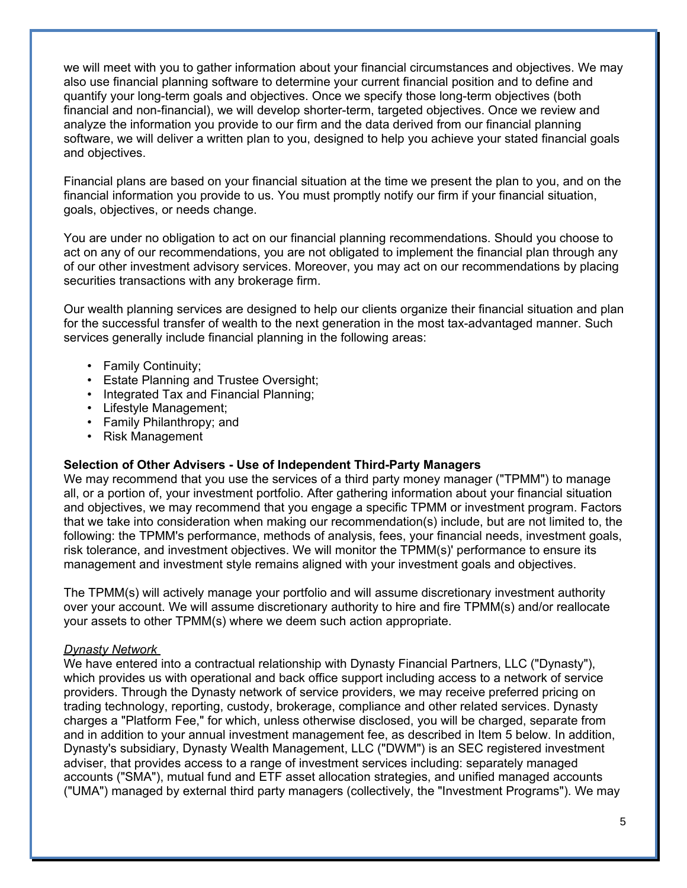we will meet with you to gather information about your financial circumstances and objectives. We may also use financial planning software to determine your current financial position and to define and quantify your long-term goals and objectives. Once we specify those long-term objectives (both financial and non-financial), we will develop shorter-term, targeted objectives. Once we review and analyze the information you provide to our firm and the data derived from our financial planning software, we will deliver a written plan to you, designed to help you achieve your stated financial goals and objectives.

Financial plans are based on your financial situation at the time we present the plan to you, and on the financial information you provide to us. You must promptly notify our firm if your financial situation, goals, objectives, or needs change.

You are under no obligation to act on our financial planning recommendations. Should you choose to act on any of our recommendations, you are not obligated to implement the financial plan through any of our other investment advisory services. Moreover, you may act on our recommendations by placing securities transactions with any brokerage firm.

Our wealth planning services are designed to help our clients organize their financial situation and plan for the successful transfer of wealth to the next generation in the most tax-advantaged manner. Such services generally include financial planning in the following areas:

- Family Continuity;
- Estate Planning and Trustee Oversight;
- Integrated Tax and Financial Planning;
- Lifestyle Management;
- Family Philanthropy; and
- Risk Management

### **Selection of Other Advisers - Use of Independent Third-Party Managers**

We may recommend that you use the services of a third party money manager ("TPMM") to manage all, or a portion of, your investment portfolio. After gathering information about your financial situation and objectives, we may recommend that you engage a specific TPMM or investment program. Factors that we take into consideration when making our recommendation(s) include, but are not limited to, the following: the TPMM's performance, methods of analysis, fees, your financial needs, investment goals, risk tolerance, and investment objectives. We will monitor the TPMM(s)' performance to ensure its management and investment style remains aligned with your investment goals and objectives.

The TPMM(s) will actively manage your portfolio and will assume discretionary investment authority over your account. We will assume discretionary authority to hire and fire TPMM(s) and/or reallocate your assets to other TPMM(s) where we deem such action appropriate.

#### *Dynasty Network*

We have entered into a contractual relationship with Dynasty Financial Partners, LLC ("Dynasty"), which provides us with operational and back office support including access to a network of service providers. Through the Dynasty network of service providers, we may receive preferred pricing on trading technology, reporting, custody, brokerage, compliance and other related services. Dynasty charges a "Platform Fee," for which, unless otherwise disclosed, you will be charged, separate from and in addition to your annual investment management fee, as described in Item 5 below. In addition, Dynasty's subsidiary, Dynasty Wealth Management, LLC ("DWM") is an SEC registered investment adviser, that provides access to a range of investment services including: separately managed accounts ("SMA"), mutual fund and ETF asset allocation strategies, and unified managed accounts ("UMA") managed by external third party managers (collectively, the "Investment Programs"). We may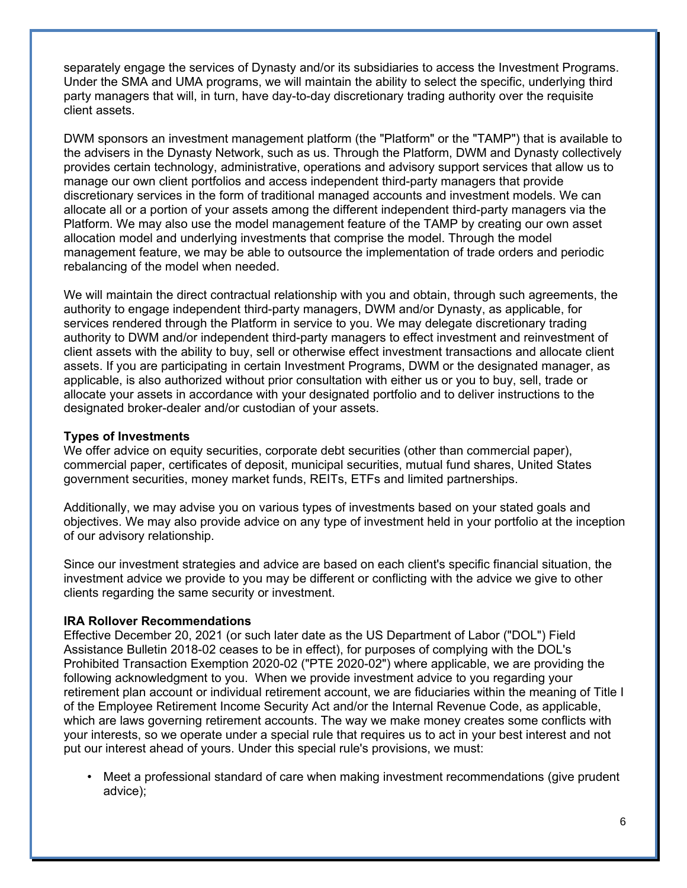separately engage the services of Dynasty and/or its subsidiaries to access the Investment Programs. Under the SMA and UMA programs, we will maintain the ability to select the specific, underlying third party managers that will, in turn, have day-to-day discretionary trading authority over the requisite client assets.

DWM sponsors an investment management platform (the "Platform" or the "TAMP") that is available to the advisers in the Dynasty Network, such as us. Through the Platform, DWM and Dynasty collectively provides certain technology, administrative, operations and advisory support services that allow us to manage our own client portfolios and access independent third-party managers that provide discretionary services in the form of traditional managed accounts and investment models. We can allocate all or a portion of your assets among the different independent third-party managers via the Platform. We may also use the model management feature of the TAMP by creating our own asset allocation model and underlying investments that comprise the model. Through the model management feature, we may be able to outsource the implementation of trade orders and periodic rebalancing of the model when needed.

We will maintain the direct contractual relationship with you and obtain, through such agreements, the authority to engage independent third-party managers, DWM and/or Dynasty, as applicable, for services rendered through the Platform in service to you. We may delegate discretionary trading authority to DWM and/or independent third-party managers to effect investment and reinvestment of client assets with the ability to buy, sell or otherwise effect investment transactions and allocate client assets. If you are participating in certain Investment Programs, DWM or the designated manager, as applicable, is also authorized without prior consultation with either us or you to buy, sell, trade or allocate your assets in accordance with your designated portfolio and to deliver instructions to the designated broker-dealer and/or custodian of your assets.

#### **Types of Investments**

We offer advice on equity securities, corporate debt securities (other than commercial paper), commercial paper, certificates of deposit, municipal securities, mutual fund shares, United States government securities, money market funds, REITs, ETFs and limited partnerships.

Additionally, we may advise you on various types of investments based on your stated goals and objectives. We may also provide advice on any type of investment held in your portfolio at the inception of our advisory relationship.

Since our investment strategies and advice are based on each client's specific financial situation, the investment advice we provide to you may be different or conflicting with the advice we give to other clients regarding the same security or investment.

#### **IRA Rollover Recommendations**

Effective December 20, 2021 (or such later date as the US Department of Labor ("DOL") Field Assistance Bulletin 2018-02 ceases to be in effect), for purposes of complying with the DOL's Prohibited Transaction Exemption 2020-02 ("PTE 2020-02") where applicable, we are providing the following acknowledgment to you. When we provide investment advice to you regarding your retirement plan account or individual retirement account, we are fiduciaries within the meaning of Title I of the Employee Retirement Income Security Act and/or the Internal Revenue Code, as applicable, which are laws governing retirement accounts. The way we make money creates some conflicts with your interests, so we operate under a special rule that requires us to act in your best interest and not put our interest ahead of yours. Under this special rule's provisions, we must:

• Meet a professional standard of care when making investment recommendations (give prudent advice);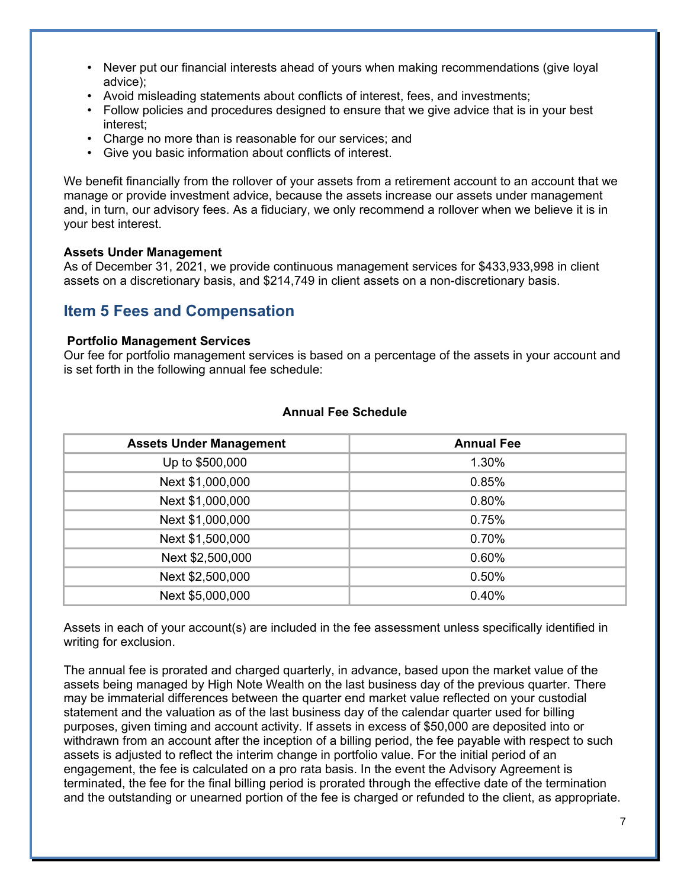- Never put our financial interests ahead of yours when making recommendations (give loyal advice);
- Avoid misleading statements about conflicts of interest, fees, and investments;
- Follow policies and procedures designed to ensure that we give advice that is in your best interest;
- Charge no more than is reasonable for our services; and
- Give you basic information about conflicts of interest.

We benefit financially from the rollover of your assets from a retirement account to an account that we manage or provide investment advice, because the assets increase our assets under management and, in turn, our advisory fees. As a fiduciary, we only recommend a rollover when we believe it is in your best interest.

#### **Assets Under Management**

As of December 31, 2021, we provide continuous management services for \$433,933,998 in client assets on a discretionary basis, and \$214,749 in client assets on a non-discretionary basis.

# **Item 5 Fees and Compensation**

#### **Portfolio Management Services**

Our fee for portfolio management services is based on a percentage of the assets in your account and is set forth in the following annual fee schedule:

| <b>Assets Under Management</b> | <b>Annual Fee</b> |
|--------------------------------|-------------------|
| Up to \$500,000                | 1.30%             |
| Next \$1,000,000               | 0.85%             |
| Next \$1,000,000               | 0.80%             |
| Next \$1,000,000               | 0.75%             |
| Next \$1,500,000               | 0.70%             |
| Next \$2,500,000               | 0.60%             |
| Next \$2,500,000               | 0.50%             |
| Next \$5,000,000               | 0.40%             |

#### **Annual Fee Schedule**

Assets in each of your account(s) are included in the fee assessment unless specifically identified in writing for exclusion.

The annual fee is prorated and charged quarterly, in advance, based upon the market value of the assets being managed by High Note Wealth on the last business day of the previous quarter. There may be immaterial differences between the quarter end market value reflected on your custodial statement and the valuation as of the last business day of the calendar quarter used for billing purposes, given timing and account activity. If assets in excess of \$50,000 are deposited into or withdrawn from an account after the inception of a billing period, the fee payable with respect to such assets is adjusted to reflect the interim change in portfolio value. For the initial period of an engagement, the fee is calculated on a pro rata basis. In the event the Advisory Agreement is terminated, the fee for the final billing period is prorated through the effective date of the termination and the outstanding or unearned portion of the fee is charged or refunded to the client, as appropriate.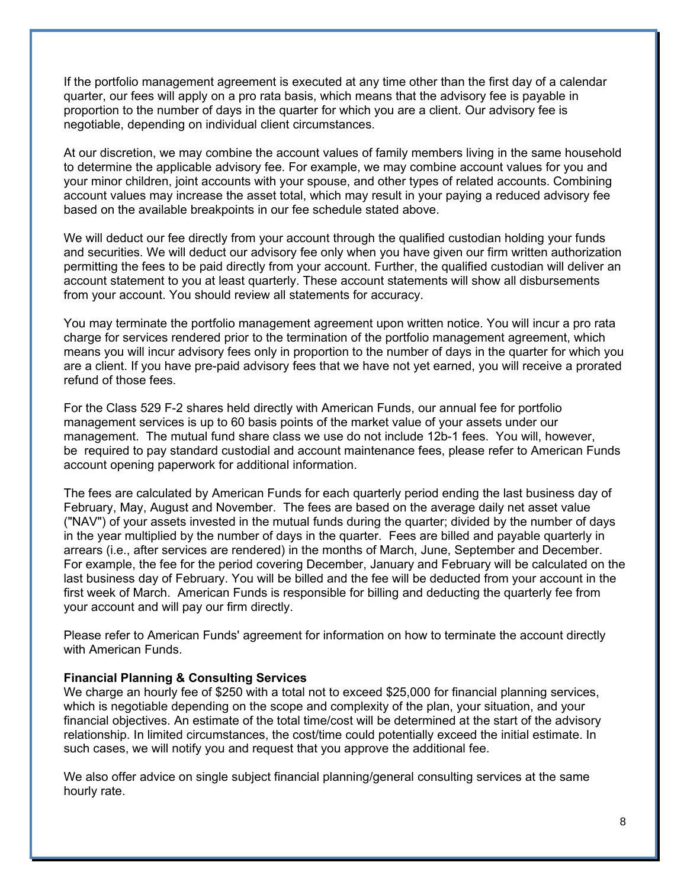If the portfolio management agreement is executed at any time other than the first day of a calendar quarter, our fees will apply on a pro rata basis, which means that the advisory fee is payable in proportion to the number of days in the quarter for which you are a client. Our advisory fee is negotiable, depending on individual client circumstances.

At our discretion, we may combine the account values of family members living in the same household to determine the applicable advisory fee. For example, we may combine account values for you and your minor children, joint accounts with your spouse, and other types of related accounts. Combining account values may increase the asset total, which may result in your paying a reduced advisory fee based on the available breakpoints in our fee schedule stated above.

We will deduct our fee directly from your account through the qualified custodian holding your funds and securities. We will deduct our advisory fee only when you have given our firm written authorization permitting the fees to be paid directly from your account. Further, the qualified custodian will deliver an account statement to you at least quarterly. These account statements will show all disbursements from your account. You should review all statements for accuracy.

You may terminate the portfolio management agreement upon written notice. You will incur a pro rata charge for services rendered prior to the termination of the portfolio management agreement, which means you will incur advisory fees only in proportion to the number of days in the quarter for which you are a client. If you have pre-paid advisory fees that we have not yet earned, you will receive a prorated refund of those fees.

For the Class 529 F-2 shares held directly with American Funds, our annual fee for portfolio management services is up to 60 basis points of the market value of your assets under our management. The mutual fund share class we use do not include 12b-1 fees. You will, however, be required to pay standard custodial and account maintenance fees, please refer to American Funds account opening paperwork for additional information.

The fees are calculated by American Funds for each quarterly period ending the last business day of February, May, August and November. The fees are based on the average daily net asset value ("NAV") of your assets invested in the mutual funds during the quarter; divided by the number of days in the year multiplied by the number of days in the quarter. Fees are billed and payable quarterly in arrears (i.e., after services are rendered) in the months of March, June, September and December. For example, the fee for the period covering December, January and February will be calculated on the last business day of February. You will be billed and the fee will be deducted from your account in the first week of March. American Funds is responsible for billing and deducting the quarterly fee from your account and will pay our firm directly.

Please refer to American Funds' agreement for information on how to terminate the account directly with American Funds.

#### **Financial Planning & Consulting Services**

We charge an hourly fee of \$250 with a total not to exceed \$25,000 for financial planning services, which is negotiable depending on the scope and complexity of the plan, your situation, and your financial objectives. An estimate of the total time/cost will be determined at the start of the advisory relationship. In limited circumstances, the cost/time could potentially exceed the initial estimate. In such cases, we will notify you and request that you approve the additional fee.

We also offer advice on single subject financial planning/general consulting services at the same hourly rate.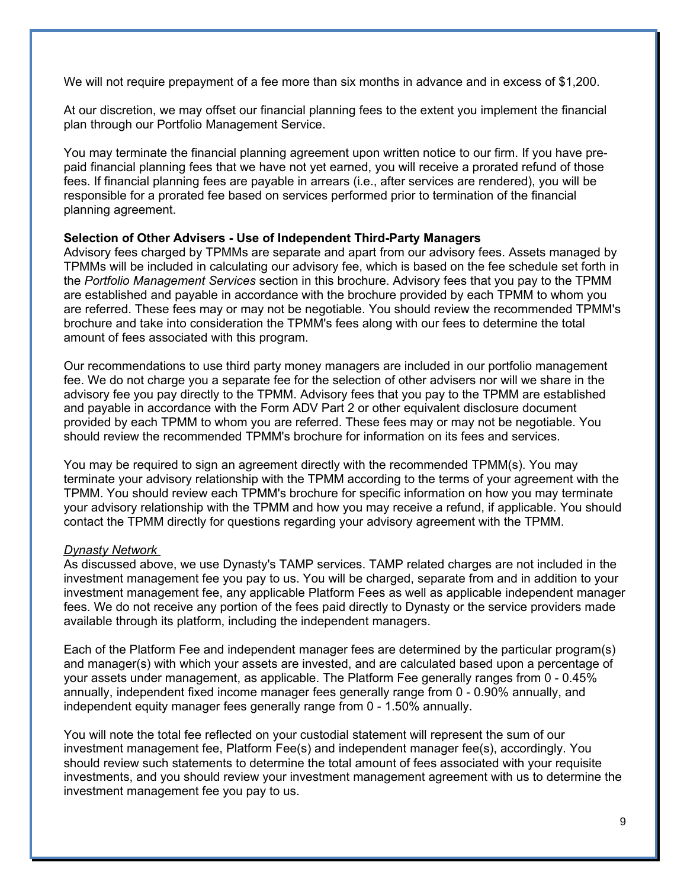We will not require prepayment of a fee more than six months in advance and in excess of \$1,200.

At our discretion, we may offset our financial planning fees to the extent you implement the financial plan through our Portfolio Management Service.

You may terminate the financial planning agreement upon written notice to our firm. If you have prepaid financial planning fees that we have not yet earned, you will receive a prorated refund of those fees. If financial planning fees are payable in arrears (i.e., after services are rendered), you will be responsible for a prorated fee based on services performed prior to termination of the financial planning agreement.

#### **Selection of Other Advisers - Use of Independent Third-Party Managers**

Advisory fees charged by TPMMs are separate and apart from our advisory fees. Assets managed by TPMMs will be included in calculating our advisory fee, which is based on the fee schedule set forth in the *Portfolio Management Services* section in this brochure. Advisory fees that you pay to the TPMM are established and payable in accordance with the brochure provided by each TPMM to whom you are referred. These fees may or may not be negotiable. You should review the recommended TPMM's brochure and take into consideration the TPMM's fees along with our fees to determine the total amount of fees associated with this program.

Our recommendations to use third party money managers are included in our portfolio management fee. We do not charge you a separate fee for the selection of other advisers nor will we share in the advisory fee you pay directly to the TPMM. Advisory fees that you pay to the TPMM are established and payable in accordance with the Form ADV Part 2 or other equivalent disclosure document provided by each TPMM to whom you are referred. These fees may or may not be negotiable. You should review the recommended TPMM's brochure for information on its fees and services.

You may be required to sign an agreement directly with the recommended TPMM(s). You may terminate your advisory relationship with the TPMM according to the terms of your agreement with the TPMM. You should review each TPMM's brochure for specific information on how you may terminate your advisory relationship with the TPMM and how you may receive a refund, if applicable. You should contact the TPMM directly for questions regarding your advisory agreement with the TPMM.

### *Dynasty Network*

As discussed above, we use Dynasty's TAMP services. TAMP related charges are not included in the investment management fee you pay to us. You will be charged, separate from and in addition to your investment management fee, any applicable Platform Fees as well as applicable independent manager fees. We do not receive any portion of the fees paid directly to Dynasty or the service providers made available through its platform, including the independent managers.

Each of the Platform Fee and independent manager fees are determined by the particular program(s) and manager(s) with which your assets are invested, and are calculated based upon a percentage of your assets under management, as applicable. The Platform Fee generally ranges from 0 - 0.45% annually, independent fixed income manager fees generally range from 0 - 0.90% annually, and independent equity manager fees generally range from 0 - 1.50% annually.

You will note the total fee reflected on your custodial statement will represent the sum of our investment management fee, Platform Fee(s) and independent manager fee(s), accordingly. You should review such statements to determine the total amount of fees associated with your requisite investments, and you should review your investment management agreement with us to determine the investment management fee you pay to us.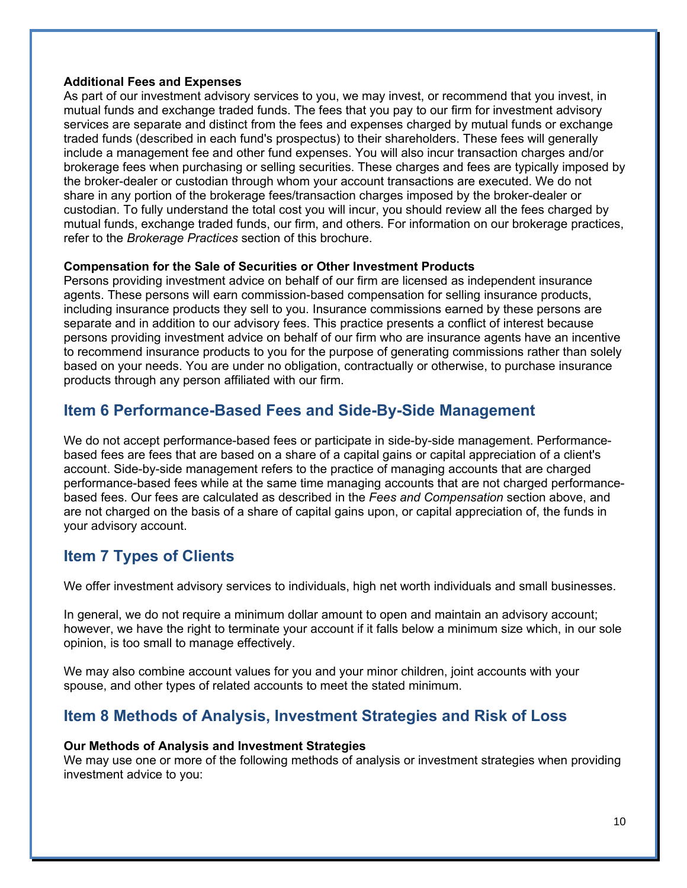#### **Additional Fees and Expenses**

As part of our investment advisory services to you, we may invest, or recommend that you invest, in mutual funds and exchange traded funds. The fees that you pay to our firm for investment advisory services are separate and distinct from the fees and expenses charged by mutual funds or exchange traded funds (described in each fund's prospectus) to their shareholders. These fees will generally include a management fee and other fund expenses. You will also incur transaction charges and/or brokerage fees when purchasing or selling securities. These charges and fees are typically imposed by the broker-dealer or custodian through whom your account transactions are executed. We do not share in any portion of the brokerage fees/transaction charges imposed by the broker-dealer or custodian. To fully understand the total cost you will incur, you should review all the fees charged by mutual funds, exchange traded funds, our firm, and others. For information on our brokerage practices, refer to the *Brokerage Practices* section of this brochure.

### **Compensation for the Sale of Securities or Other Investment Products**

Persons providing investment advice on behalf of our firm are licensed as independent insurance agents. These persons will earn commission-based compensation for selling insurance products, including insurance products they sell to you. Insurance commissions earned by these persons are separate and in addition to our advisory fees. This practice presents a conflict of interest because persons providing investment advice on behalf of our firm who are insurance agents have an incentive to recommend insurance products to you for the purpose of generating commissions rather than solely based on your needs. You are under no obligation, contractually or otherwise, to purchase insurance products through any person affiliated with our firm.

# **Item 6 Performance-Based Fees and Side-By-Side Management**

We do not accept performance-based fees or participate in side-by-side management. Performancebased fees are fees that are based on a share of a capital gains or capital appreciation of a client's account. Side-by-side management refers to the practice of managing accounts that are charged performance-based fees while at the same time managing accounts that are not charged performancebased fees. Our fees are calculated as described in the *Fees and Compensation* section above, and are not charged on the basis of a share of capital gains upon, or capital appreciation of, the funds in your advisory account.

# **Item 7 Types of Clients**

We offer investment advisory services to individuals, high net worth individuals and small businesses.

In general, we do not require a minimum dollar amount to open and maintain an advisory account; however, we have the right to terminate your account if it falls below a minimum size which, in our sole opinion, is too small to manage effectively.

We may also combine account values for you and your minor children, joint accounts with your spouse, and other types of related accounts to meet the stated minimum.

# **Item 8 Methods of Analysis, Investment Strategies and Risk of Loss**

### **Our Methods of Analysis and Investment Strategies**

We may use one or more of the following methods of analysis or investment strategies when providing investment advice to you: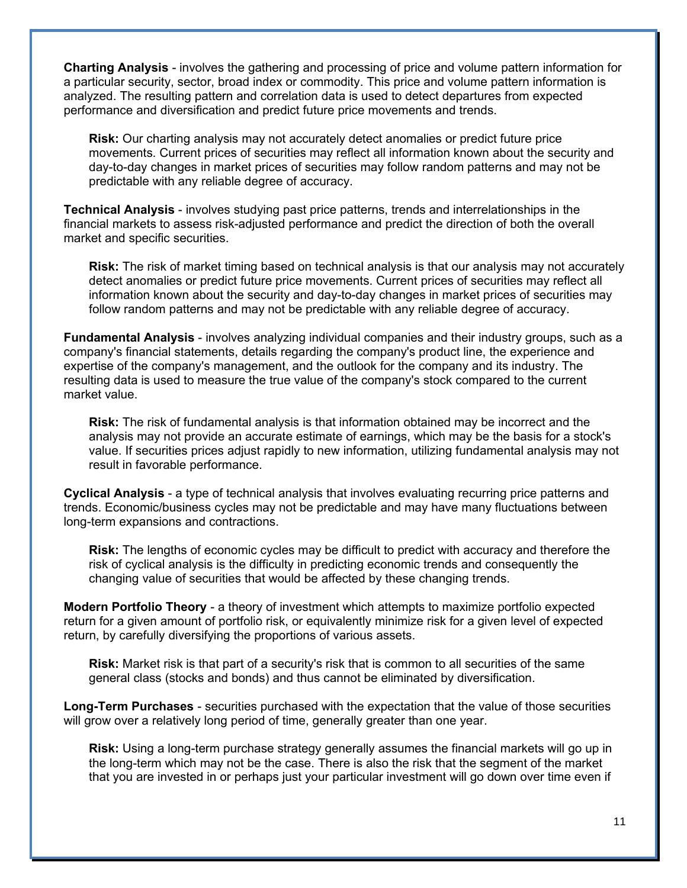**Charting Analysis** - involves the gathering and processing of price and volume pattern information for a particular security, sector, broad index or commodity. This price and volume pattern information is analyzed. The resulting pattern and correlation data is used to detect departures from expected performance and diversification and predict future price movements and trends.

**Risk:** Our charting analysis may not accurately detect anomalies or predict future price movements. Current prices of securities may reflect all information known about the security and day-to-day changes in market prices of securities may follow random patterns and may not be predictable with any reliable degree of accuracy.

**Technical Analysis** - involves studying past price patterns, trends and interrelationships in the financial markets to assess risk-adjusted performance and predict the direction of both the overall market and specific securities.

**Risk:** The risk of market timing based on technical analysis is that our analysis may not accurately detect anomalies or predict future price movements. Current prices of securities may reflect all information known about the security and day-to-day changes in market prices of securities may follow random patterns and may not be predictable with any reliable degree of accuracy.

**Fundamental Analysis** - involves analyzing individual companies and their industry groups, such as a company's financial statements, details regarding the company's product line, the experience and expertise of the company's management, and the outlook for the company and its industry. The resulting data is used to measure the true value of the company's stock compared to the current market value.

**Risk:** The risk of fundamental analysis is that information obtained may be incorrect and the analysis may not provide an accurate estimate of earnings, which may be the basis for a stock's value. If securities prices adjust rapidly to new information, utilizing fundamental analysis may not result in favorable performance.

**Cyclical Analysis** - a type of technical analysis that involves evaluating recurring price patterns and trends. Economic/business cycles may not be predictable and may have many fluctuations between long-term expansions and contractions.

**Risk:** The lengths of economic cycles may be difficult to predict with accuracy and therefore the risk of cyclical analysis is the difficulty in predicting economic trends and consequently the changing value of securities that would be affected by these changing trends.

**Modern Portfolio Theory** - a theory of investment which attempts to maximize portfolio expected return for a given amount of portfolio risk, or equivalently minimize risk for a given level of expected return, by carefully diversifying the proportions of various assets.

**Risk:** Market risk is that part of a security's risk that is common to all securities of the same general class (stocks and bonds) and thus cannot be eliminated by diversification.

**Long-Term Purchases** - securities purchased with the expectation that the value of those securities will grow over a relatively long period of time, generally greater than one year.

**Risk:** Using a long-term purchase strategy generally assumes the financial markets will go up in the long-term which may not be the case. There is also the risk that the segment of the market that you are invested in or perhaps just your particular investment will go down over time even if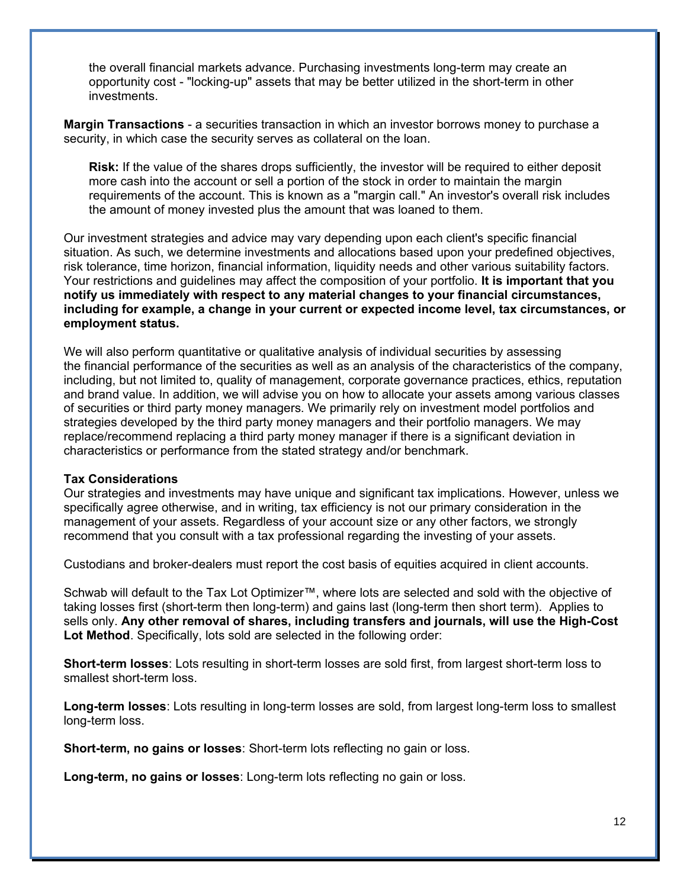the overall financial markets advance. Purchasing investments long-term may create an opportunity cost - "locking-up" assets that may be better utilized in the short-term in other investments.

**Margin Transactions** - a securities transaction in which an investor borrows money to purchase a security, in which case the security serves as collateral on the loan.

**Risk:** If the value of the shares drops sufficiently, the investor will be required to either deposit more cash into the account or sell a portion of the stock in order to maintain the margin requirements of the account. This is known as a "margin call." An investor's overall risk includes the amount of money invested plus the amount that was loaned to them.

Our investment strategies and advice may vary depending upon each client's specific financial situation. As such, we determine investments and allocations based upon your predefined objectives, risk tolerance, time horizon, financial information, liquidity needs and other various suitability factors. Your restrictions and guidelines may affect the composition of your portfolio. **It is important that you notify us immediately with respect to any material changes to your financial circumstances, including for example, a change in your current or expected income level, tax circumstances, or employment status.**

We will also perform quantitative or qualitative analysis of individual securities by assessing the financial performance of the securities as well as an analysis of the characteristics of the company, including, but not limited to, quality of management, corporate governance practices, ethics, reputation and brand value. In addition, we will advise you on how to allocate your assets among various classes of securities or third party money managers. We primarily rely on investment model portfolios and strategies developed by the third party money managers and their portfolio managers. We may replace/recommend replacing a third party money manager if there is a significant deviation in characteristics or performance from the stated strategy and/or benchmark.

#### **Tax Considerations**

Our strategies and investments may have unique and significant tax implications. However, unless we specifically agree otherwise, and in writing, tax efficiency is not our primary consideration in the management of your assets. Regardless of your account size or any other factors, we strongly recommend that you consult with a tax professional regarding the investing of your assets.

Custodians and broker-dealers must report the cost basis of equities acquired in client accounts.

Schwab will default to the Tax Lot Optimizer™, where lots are selected and sold with the objective of taking losses first (short-term then long-term) and gains last (long-term then short term). Applies to sells only. **Any other removal of shares, including transfers and journals, will use the High-Cost Lot Method**. Specifically, lots sold are selected in the following order:

**Short-term losses**: Lots resulting in short-term losses are sold first, from largest short-term loss to smallest short-term loss.

**Long-term losses**: Lots resulting in long-term losses are sold, from largest long-term loss to smallest long-term loss.

**Short-term, no gains or losses**: Short-term lots reflecting no gain or loss.

**Long-term, no gains or losses**: Long-term lots reflecting no gain or loss.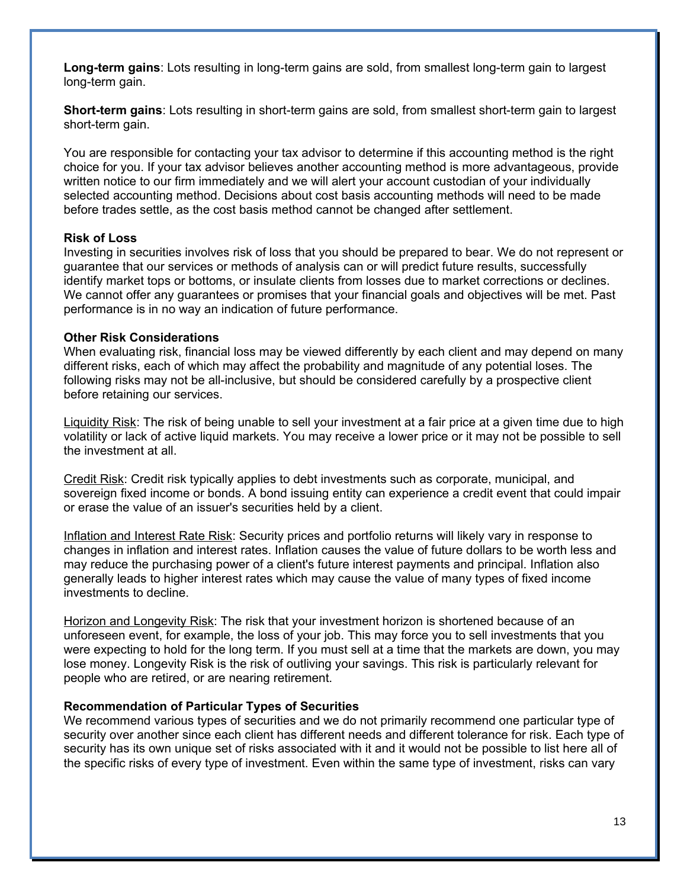**Long-term gains**: Lots resulting in long-term gains are sold, from smallest long-term gain to largest long-term gain.

**Short-term gains**: Lots resulting in short-term gains are sold, from smallest short-term gain to largest short-term gain.

You are responsible for contacting your tax advisor to determine if this accounting method is the right choice for you. If your tax advisor believes another accounting method is more advantageous, provide written notice to our firm immediately and we will alert your account custodian of your individually selected accounting method. Decisions about cost basis accounting methods will need to be made before trades settle, as the cost basis method cannot be changed after settlement.

#### **Risk of Loss**

Investing in securities involves risk of loss that you should be prepared to bear. We do not represent or guarantee that our services or methods of analysis can or will predict future results, successfully identify market tops or bottoms, or insulate clients from losses due to market corrections or declines. We cannot offer any guarantees or promises that your financial goals and objectives will be met. Past performance is in no way an indication of future performance.

#### **Other Risk Considerations**

When evaluating risk, financial loss may be viewed differently by each client and may depend on many different risks, each of which may affect the probability and magnitude of any potential loses. The following risks may not be all-inclusive, but should be considered carefully by a prospective client before retaining our services.

Liquidity Risk: The risk of being unable to sell your investment at a fair price at a given time due to high volatility or lack of active liquid markets. You may receive a lower price or it may not be possible to sell the investment at all.

Credit Risk: Credit risk typically applies to debt investments such as corporate, municipal, and sovereign fixed income or bonds. A bond issuing entity can experience a credit event that could impair or erase the value of an issuer's securities held by a client.

Inflation and Interest Rate Risk: Security prices and portfolio returns will likely vary in response to changes in inflation and interest rates. Inflation causes the value of future dollars to be worth less and may reduce the purchasing power of a client's future interest payments and principal. Inflation also generally leads to higher interest rates which may cause the value of many types of fixed income investments to decline.

Horizon and Longevity Risk: The risk that your investment horizon is shortened because of an unforeseen event, for example, the loss of your job. This may force you to sell investments that you were expecting to hold for the long term. If you must sell at a time that the markets are down, you may lose money. Longevity Risk is the risk of outliving your savings. This risk is particularly relevant for people who are retired, or are nearing retirement.

#### **Recommendation of Particular Types of Securities**

We recommend various types of securities and we do not primarily recommend one particular type of security over another since each client has different needs and different tolerance for risk. Each type of security has its own unique set of risks associated with it and it would not be possible to list here all of the specific risks of every type of investment. Even within the same type of investment, risks can vary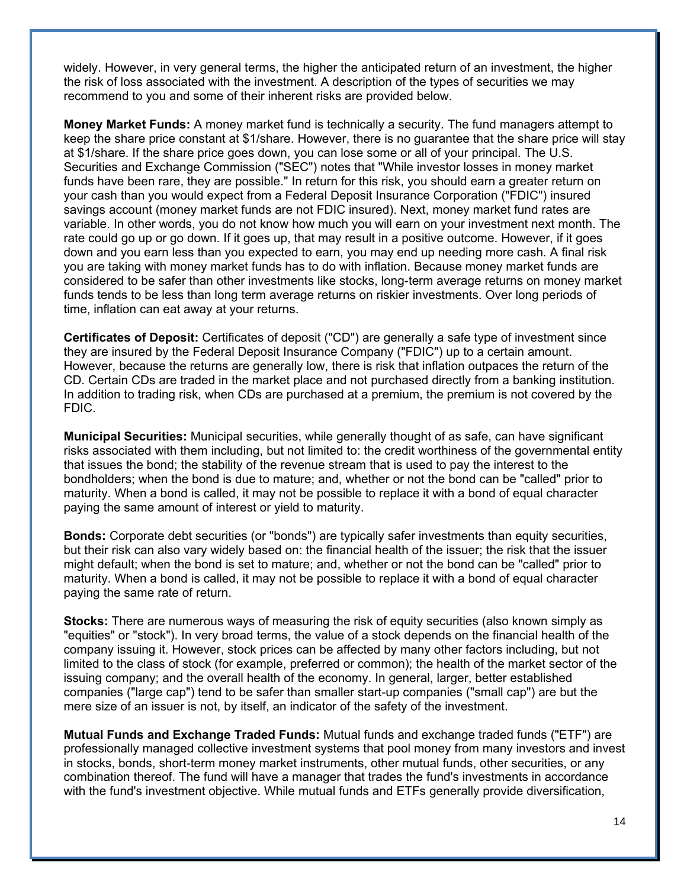widely. However, in very general terms, the higher the anticipated return of an investment, the higher the risk of loss associated with the investment. A description of the types of securities we may recommend to you and some of their inherent risks are provided below.

**Money Market Funds:** A money market fund is technically a security. The fund managers attempt to keep the share price constant at \$1/share. However, there is no guarantee that the share price will stay at \$1/share. If the share price goes down, you can lose some or all of your principal. The U.S. Securities and Exchange Commission ("SEC") notes that "While investor losses in money market funds have been rare, they are possible." In return for this risk, you should earn a greater return on your cash than you would expect from a Federal Deposit Insurance Corporation ("FDIC") insured savings account (money market funds are not FDIC insured). Next, money market fund rates are variable. In other words, you do not know how much you will earn on your investment next month. The rate could go up or go down. If it goes up, that may result in a positive outcome. However, if it goes down and you earn less than you expected to earn, you may end up needing more cash. A final risk you are taking with money market funds has to do with inflation. Because money market funds are considered to be safer than other investments like stocks, long-term average returns on money market funds tends to be less than long term average returns on riskier investments. Over long periods of time, inflation can eat away at your returns.

**Certificates of Deposit:** Certificates of deposit ("CD") are generally a safe type of investment since they are insured by the Federal Deposit Insurance Company ("FDIC") up to a certain amount. However, because the returns are generally low, there is risk that inflation outpaces the return of the CD. Certain CDs are traded in the market place and not purchased directly from a banking institution. In addition to trading risk, when CDs are purchased at a premium, the premium is not covered by the FDIC.

**Municipal Securities:** Municipal securities, while generally thought of as safe, can have significant risks associated with them including, but not limited to: the credit worthiness of the governmental entity that issues the bond; the stability of the revenue stream that is used to pay the interest to the bondholders; when the bond is due to mature; and, whether or not the bond can be "called" prior to maturity. When a bond is called, it may not be possible to replace it with a bond of equal character paying the same amount of interest or yield to maturity.

**Bonds:** Corporate debt securities (or "bonds") are typically safer investments than equity securities, but their risk can also vary widely based on: the financial health of the issuer; the risk that the issuer might default; when the bond is set to mature; and, whether or not the bond can be "called" prior to maturity. When a bond is called, it may not be possible to replace it with a bond of equal character paying the same rate of return.

**Stocks:** There are numerous ways of measuring the risk of equity securities (also known simply as "equities" or "stock"). In very broad terms, the value of a stock depends on the financial health of the company issuing it. However, stock prices can be affected by many other factors including, but not limited to the class of stock (for example, preferred or common); the health of the market sector of the issuing company; and the overall health of the economy. In general, larger, better established companies ("large cap") tend to be safer than smaller start-up companies ("small cap") are but the mere size of an issuer is not, by itself, an indicator of the safety of the investment.

**Mutual Funds and Exchange Traded Funds:** Mutual funds and exchange traded funds ("ETF") are professionally managed collective investment systems that pool money from many investors and invest in stocks, bonds, short-term money market instruments, other mutual funds, other securities, or any combination thereof. The fund will have a manager that trades the fund's investments in accordance with the fund's investment objective. While mutual funds and ETFs generally provide diversification,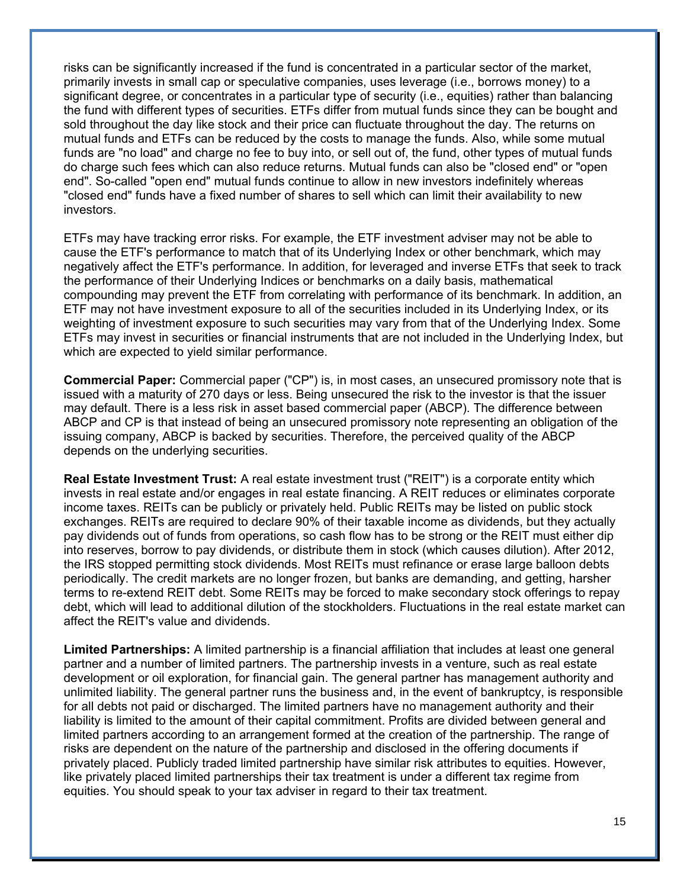risks can be significantly increased if the fund is concentrated in a particular sector of the market, primarily invests in small cap or speculative companies, uses leverage (i.e., borrows money) to a significant degree, or concentrates in a particular type of security (i.e., equities) rather than balancing the fund with different types of securities. ETFs differ from mutual funds since they can be bought and sold throughout the day like stock and their price can fluctuate throughout the day. The returns on mutual funds and ETFs can be reduced by the costs to manage the funds. Also, while some mutual funds are "no load" and charge no fee to buy into, or sell out of, the fund, other types of mutual funds do charge such fees which can also reduce returns. Mutual funds can also be "closed end" or "open end". So-called "open end" mutual funds continue to allow in new investors indefinitely whereas "closed end" funds have a fixed number of shares to sell which can limit their availability to new investors.

ETFs may have tracking error risks. For example, the ETF investment adviser may not be able to cause the ETF's performance to match that of its Underlying Index or other benchmark, which may negatively affect the ETF's performance. In addition, for leveraged and inverse ETFs that seek to track the performance of their Underlying Indices or benchmarks on a daily basis, mathematical compounding may prevent the ETF from correlating with performance of its benchmark. In addition, an ETF may not have investment exposure to all of the securities included in its Underlying Index, or its weighting of investment exposure to such securities may vary from that of the Underlying Index. Some ETFs may invest in securities or financial instruments that are not included in the Underlying Index, but which are expected to yield similar performance.

**Commercial Paper:** Commercial paper ("CP") is, in most cases, an unsecured promissory note that is issued with a maturity of 270 days or less. Being unsecured the risk to the investor is that the issuer may default. There is a less risk in asset based commercial paper (ABCP). The difference between ABCP and CP is that instead of being an unsecured promissory note representing an obligation of the issuing company, ABCP is backed by securities. Therefore, the perceived quality of the ABCP depends on the underlying securities.

**Real Estate Investment Trust:** A real estate investment trust ("REIT") is a corporate entity which invests in real estate and/or engages in real estate financing. A REIT reduces or eliminates corporate income taxes. REITs can be publicly or privately held. Public REITs may be listed on public stock exchanges. REITs are required to declare 90% of their taxable income as dividends, but they actually pay dividends out of funds from operations, so cash flow has to be strong or the REIT must either dip into reserves, borrow to pay dividends, or distribute them in stock (which causes dilution). After 2012, the IRS stopped permitting stock dividends. Most REITs must refinance or erase large balloon debts periodically. The credit markets are no longer frozen, but banks are demanding, and getting, harsher terms to re-extend REIT debt. Some REITs may be forced to make secondary stock offerings to repay debt, which will lead to additional dilution of the stockholders. Fluctuations in the real estate market can affect the REIT's value and dividends.

**Limited Partnerships:** A limited partnership is a financial affiliation that includes at least one general partner and a number of limited partners. The partnership invests in a venture, such as real estate development or oil exploration, for financial gain. The general partner has management authority and unlimited liability. The general partner runs the business and, in the event of bankruptcy, is responsible for all debts not paid or discharged. The limited partners have no management authority and their liability is limited to the amount of their capital commitment. Profits are divided between general and limited partners according to an arrangement formed at the creation of the partnership. The range of risks are dependent on the nature of the partnership and disclosed in the offering documents if privately placed. Publicly traded limited partnership have similar risk attributes to equities. However, like privately placed limited partnerships their tax treatment is under a different tax regime from equities. You should speak to your tax adviser in regard to their tax treatment.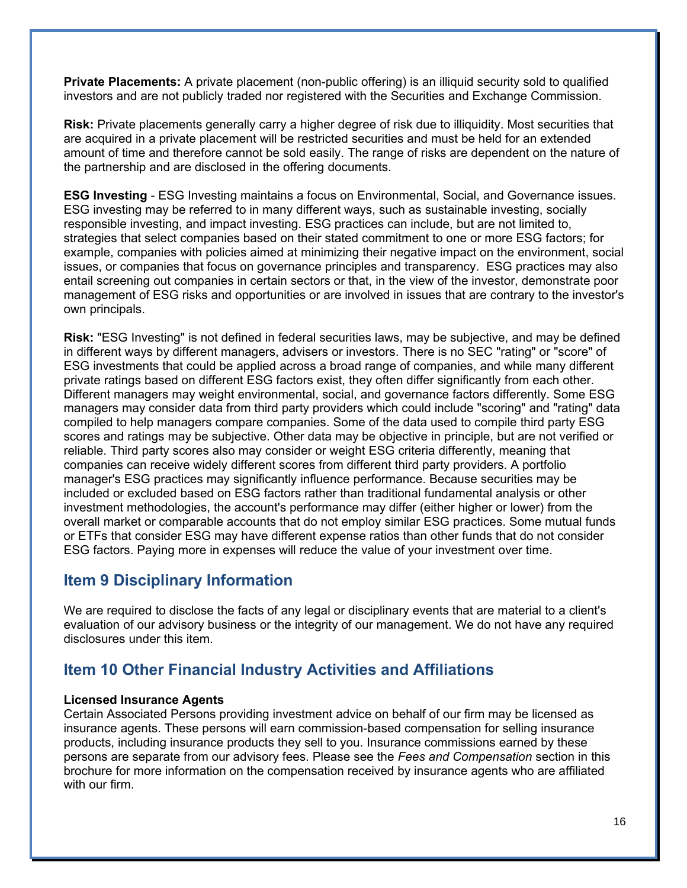**Private Placements:** A private placement (non-public offering) is an illiquid security sold to qualified investors and are not publicly traded nor registered with the Securities and Exchange Commission.

**Risk:** Private placements generally carry a higher degree of risk due to illiquidity. Most securities that are acquired in a private placement will be restricted securities and must be held for an extended amount of time and therefore cannot be sold easily. The range of risks are dependent on the nature of the partnership and are disclosed in the offering documents.

**ESG Investing** - ESG Investing maintains a focus on Environmental, Social, and Governance issues. ESG investing may be referred to in many different ways, such as sustainable investing, socially responsible investing, and impact investing. ESG practices can include, but are not limited to, strategies that select companies based on their stated commitment to one or more ESG factors; for example, companies with policies aimed at minimizing their negative impact on the environment, social issues, or companies that focus on governance principles and transparency. ESG practices may also entail screening out companies in certain sectors or that, in the view of the investor, demonstrate poor management of ESG risks and opportunities or are involved in issues that are contrary to the investor's own principals.

**Risk:** "ESG Investing" is not defined in federal securities laws, may be subjective, and may be defined in different ways by different managers, advisers or investors. There is no SEC "rating" or "score" of ESG investments that could be applied across a broad range of companies, and while many different private ratings based on different ESG factors exist, they often differ significantly from each other. Different managers may weight environmental, social, and governance factors differently. Some ESG managers may consider data from third party providers which could include "scoring" and "rating" data compiled to help managers compare companies. Some of the data used to compile third party ESG scores and ratings may be subjective. Other data may be objective in principle, but are not verified or reliable. Third party scores also may consider or weight ESG criteria differently, meaning that companies can receive widely different scores from different third party providers. A portfolio manager's ESG practices may significantly influence performance. Because securities may be included or excluded based on ESG factors rather than traditional fundamental analysis or other investment methodologies, the account's performance may differ (either higher or lower) from the overall market or comparable accounts that do not employ similar ESG practices. Some mutual funds or ETFs that consider ESG may have different expense ratios than other funds that do not consider ESG factors. Paying more in expenses will reduce the value of your investment over time.

# **Item 9 Disciplinary Information**

We are required to disclose the facts of any legal or disciplinary events that are material to a client's evaluation of our advisory business or the integrity of our management. We do not have any required disclosures under this item.

# **Item 10 Other Financial Industry Activities and Affiliations**

### **Licensed Insurance Agents**

Certain Associated Persons providing investment advice on behalf of our firm may be licensed as insurance agents. These persons will earn commission-based compensation for selling insurance products, including insurance products they sell to you. Insurance commissions earned by these persons are separate from our advisory fees. Please see the *Fees and Compensation* section in this brochure for more information on the compensation received by insurance agents who are affiliated with our firm.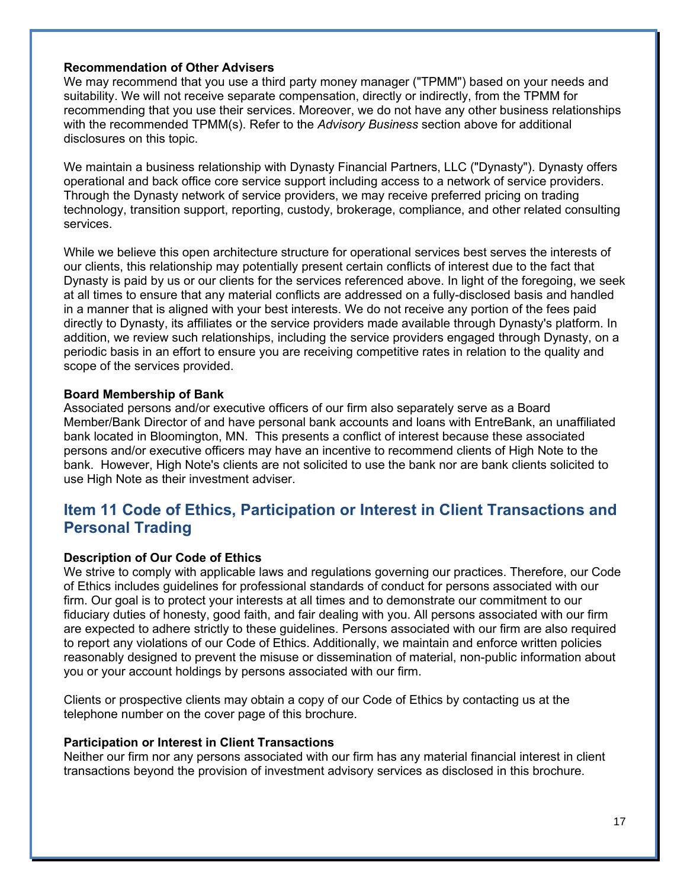#### **Recommendation of Other Advisers**

We may recommend that you use a third party money manager ("TPMM") based on your needs and suitability. We will not receive separate compensation, directly or indirectly, from the TPMM for recommending that you use their services. Moreover, we do not have any other business relationships with the recommended TPMM(s). Refer to the *Advisory Business* section above for additional disclosures on this topic.

We maintain a business relationship with Dynasty Financial Partners, LLC ("Dynasty"). Dynasty offers operational and back office core service support including access to a network of service providers. Through the Dynasty network of service providers, we may receive preferred pricing on trading technology, transition support, reporting, custody, brokerage, compliance, and other related consulting services.

While we believe this open architecture structure for operational services best serves the interests of our clients, this relationship may potentially present certain conflicts of interest due to the fact that Dynasty is paid by us or our clients for the services referenced above. In light of the foregoing, we seek at all times to ensure that any material conflicts are addressed on a fully-disclosed basis and handled in a manner that is aligned with your best interests. We do not receive any portion of the fees paid directly to Dynasty, its affiliates or the service providers made available through Dynasty's platform. In addition, we review such relationships, including the service providers engaged through Dynasty, on a periodic basis in an effort to ensure you are receiving competitive rates in relation to the quality and scope of the services provided.

#### **Board Membership of Bank**

Associated persons and/or executive officers of our firm also separately serve as a Board Member/Bank Director of and have personal bank accounts and loans with EntreBank, an unaffiliated bank located in Bloomington, MN. This presents a conflict of interest because these associated persons and/or executive officers may have an incentive to recommend clients of High Note to the bank. However, High Note's clients are not solicited to use the bank nor are bank clients solicited to use High Note as their investment adviser.

# **Item 11 Code of Ethics, Participation or Interest in Client Transactions and Personal Trading**

#### **Description of Our Code of Ethics**

We strive to comply with applicable laws and regulations governing our practices. Therefore, our Code of Ethics includes guidelines for professional standards of conduct for persons associated with our firm. Our goal is to protect your interests at all times and to demonstrate our commitment to our fiduciary duties of honesty, good faith, and fair dealing with you. All persons associated with our firm are expected to adhere strictly to these guidelines. Persons associated with our firm are also required to report any violations of our Code of Ethics. Additionally, we maintain and enforce written policies reasonably designed to prevent the misuse or dissemination of material, non-public information about you or your account holdings by persons associated with our firm.

Clients or prospective clients may obtain a copy of our Code of Ethics by contacting us at the telephone number on the cover page of this brochure.

#### **Participation or Interest in Client Transactions**

Neither our firm nor any persons associated with our firm has any material financial interest in client transactions beyond the provision of investment advisory services as disclosed in this brochure.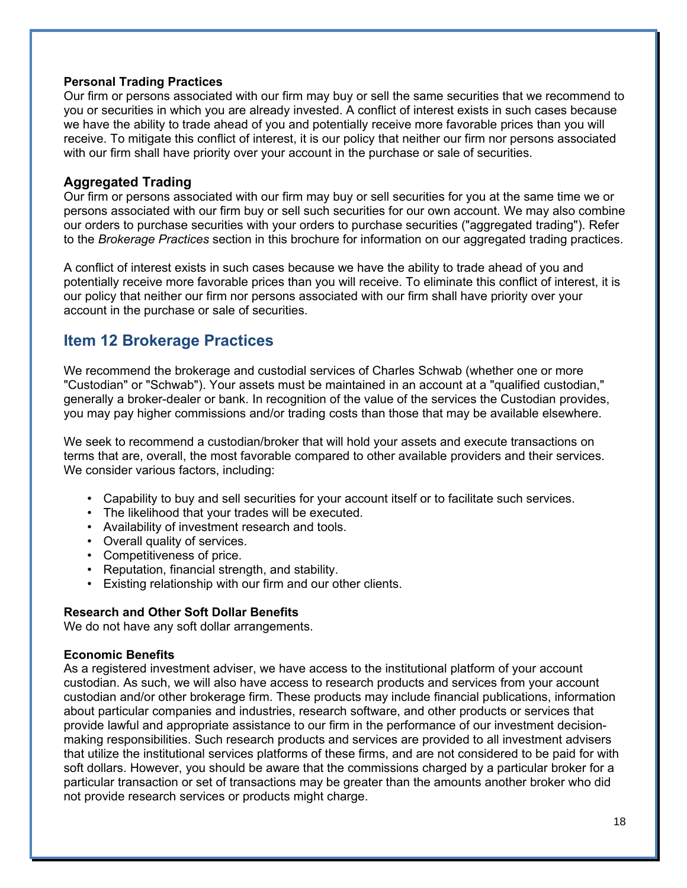### **Personal Trading Practices**

Our firm or persons associated with our firm may buy or sell the same securities that we recommend to you or securities in which you are already invested. A conflict of interest exists in such cases because we have the ability to trade ahead of you and potentially receive more favorable prices than you will receive. To mitigate this conflict of interest, it is our policy that neither our firm nor persons associated with our firm shall have priority over your account in the purchase or sale of securities.

### **Aggregated Trading**

Our firm or persons associated with our firm may buy or sell securities for you at the same time we or persons associated with our firm buy or sell such securities for our own account. We may also combine our orders to purchase securities with your orders to purchase securities ("aggregated trading"). Refer to the *Brokerage Practices* section in this brochure for information on our aggregated trading practices.

A conflict of interest exists in such cases because we have the ability to trade ahead of you and potentially receive more favorable prices than you will receive. To eliminate this conflict of interest, it is our policy that neither our firm nor persons associated with our firm shall have priority over your account in the purchase or sale of securities.

# **Item 12 Brokerage Practices**

We recommend the brokerage and custodial services of Charles Schwab (whether one or more "Custodian" or "Schwab"). Your assets must be maintained in an account at a "qualified custodian," generally a broker-dealer or bank. In recognition of the value of the services the Custodian provides, you may pay higher commissions and/or trading costs than those that may be available elsewhere.

We seek to recommend a custodian/broker that will hold your assets and execute transactions on terms that are, overall, the most favorable compared to other available providers and their services. We consider various factors, including:

- Capability to buy and sell securities for your account itself or to facilitate such services.
- The likelihood that your trades will be executed.
- Availability of investment research and tools.
- Overall quality of services.
- Competitiveness of price.
- Reputation, financial strength, and stability.
- Existing relationship with our firm and our other clients.

### **Research and Other Soft Dollar Benefits**

We do not have any soft dollar arrangements.

#### **Economic Benefits**

As a registered investment adviser, we have access to the institutional platform of your account custodian. As such, we will also have access to research products and services from your account custodian and/or other brokerage firm. These products may include financial publications, information about particular companies and industries, research software, and other products or services that provide lawful and appropriate assistance to our firm in the performance of our investment decisionmaking responsibilities. Such research products and services are provided to all investment advisers that utilize the institutional services platforms of these firms, and are not considered to be paid for with soft dollars. However, you should be aware that the commissions charged by a particular broker for a particular transaction or set of transactions may be greater than the amounts another broker who did not provide research services or products might charge.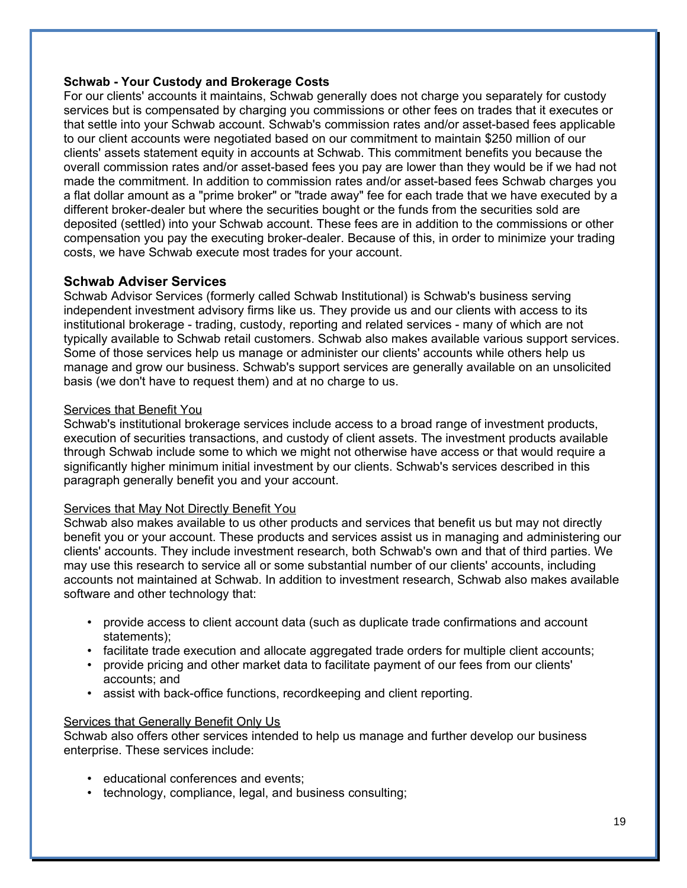### **Schwab - Your Custody and Brokerage Costs**

For our clients' accounts it maintains, Schwab generally does not charge you separately for custody services but is compensated by charging you commissions or other fees on trades that it executes or that settle into your Schwab account. Schwab's commission rates and/or asset-based fees applicable to our client accounts were negotiated based on our commitment to maintain \$250 million of our clients' assets statement equity in accounts at Schwab. This commitment benefits you because the overall commission rates and/or asset-based fees you pay are lower than they would be if we had not made the commitment. In addition to commission rates and/or asset-based fees Schwab charges you a flat dollar amount as a "prime broker" or "trade away" fee for each trade that we have executed by a different broker-dealer but where the securities bought or the funds from the securities sold are deposited (settled) into your Schwab account. These fees are in addition to the commissions or other compensation you pay the executing broker-dealer. Because of this, in order to minimize your trading costs, we have Schwab execute most trades for your account.

### **Schwab Adviser Services**

Schwab Advisor Services (formerly called Schwab Institutional) is Schwab's business serving independent investment advisory firms like us. They provide us and our clients with access to its institutional brokerage - trading, custody, reporting and related services - many of which are not typically available to Schwab retail customers. Schwab also makes available various support services. Some of those services help us manage or administer our clients' accounts while others help us manage and grow our business. Schwab's support services are generally available on an unsolicited basis (we don't have to request them) and at no charge to us.

#### Services that Benefit You

Schwab's institutional brokerage services include access to a broad range of investment products, execution of securities transactions, and custody of client assets. The investment products available through Schwab include some to which we might not otherwise have access or that would require a significantly higher minimum initial investment by our clients. Schwab's services described in this paragraph generally benefit you and your account.

#### Services that May Not Directly Benefit You

Schwab also makes available to us other products and services that benefit us but may not directly benefit you or your account. These products and services assist us in managing and administering our clients' accounts. They include investment research, both Schwab's own and that of third parties. We may use this research to service all or some substantial number of our clients' accounts, including accounts not maintained at Schwab. In addition to investment research, Schwab also makes available software and other technology that:

- provide access to client account data (such as duplicate trade confirmations and account statements);
- facilitate trade execution and allocate aggregated trade orders for multiple client accounts;
- provide pricing and other market data to facilitate payment of our fees from our clients' accounts; and
- assist with back-office functions, recordkeeping and client reporting.

#### Services that Generally Benefit Only Us

Schwab also offers other services intended to help us manage and further develop our business enterprise. These services include:

- educational conferences and events;
- technology, compliance, legal, and business consulting;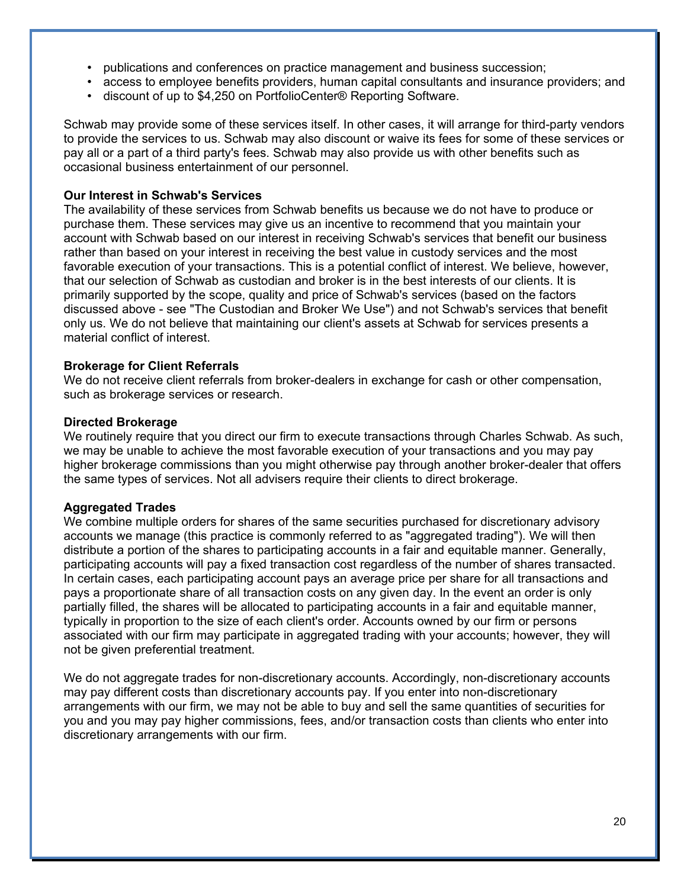- publications and conferences on practice management and business succession;
- access to employee benefits providers, human capital consultants and insurance providers; and
- discount of up to \$4,250 on PortfolioCenter® Reporting Software.

Schwab may provide some of these services itself. In other cases, it will arrange for third-party vendors to provide the services to us. Schwab may also discount or waive its fees for some of these services or pay all or a part of a third party's fees. Schwab may also provide us with other benefits such as occasional business entertainment of our personnel.

### **Our Interest in Schwab's Services**

The availability of these services from Schwab benefits us because we do not have to produce or purchase them. These services may give us an incentive to recommend that you maintain your account with Schwab based on our interest in receiving Schwab's services that benefit our business rather than based on your interest in receiving the best value in custody services and the most favorable execution of your transactions. This is a potential conflict of interest. We believe, however, that our selection of Schwab as custodian and broker is in the best interests of our clients. It is primarily supported by the scope, quality and price of Schwab's services (based on the factors discussed above - see "The Custodian and Broker We Use") and not Schwab's services that benefit only us. We do not believe that maintaining our client's assets at Schwab for services presents a material conflict of interest.

#### **Brokerage for Client Referrals**

We do not receive client referrals from broker-dealers in exchange for cash or other compensation, such as brokerage services or research.

#### **Directed Brokerage**

We routinely require that you direct our firm to execute transactions through Charles Schwab. As such, we may be unable to achieve the most favorable execution of your transactions and you may pay higher brokerage commissions than you might otherwise pay through another broker-dealer that offers the same types of services. Not all advisers require their clients to direct brokerage.

### **Aggregated Trades**

We combine multiple orders for shares of the same securities purchased for discretionary advisory accounts we manage (this practice is commonly referred to as "aggregated trading"). We will then distribute a portion of the shares to participating accounts in a fair and equitable manner. Generally, participating accounts will pay a fixed transaction cost regardless of the number of shares transacted. In certain cases, each participating account pays an average price per share for all transactions and pays a proportionate share of all transaction costs on any given day. In the event an order is only partially filled, the shares will be allocated to participating accounts in a fair and equitable manner, typically in proportion to the size of each client's order. Accounts owned by our firm or persons associated with our firm may participate in aggregated trading with your accounts; however, they will not be given preferential treatment.

We do not aggregate trades for non-discretionary accounts. Accordingly, non-discretionary accounts may pay different costs than discretionary accounts pay. If you enter into non-discretionary arrangements with our firm, we may not be able to buy and sell the same quantities of securities for you and you may pay higher commissions, fees, and/or transaction costs than clients who enter into discretionary arrangements with our firm.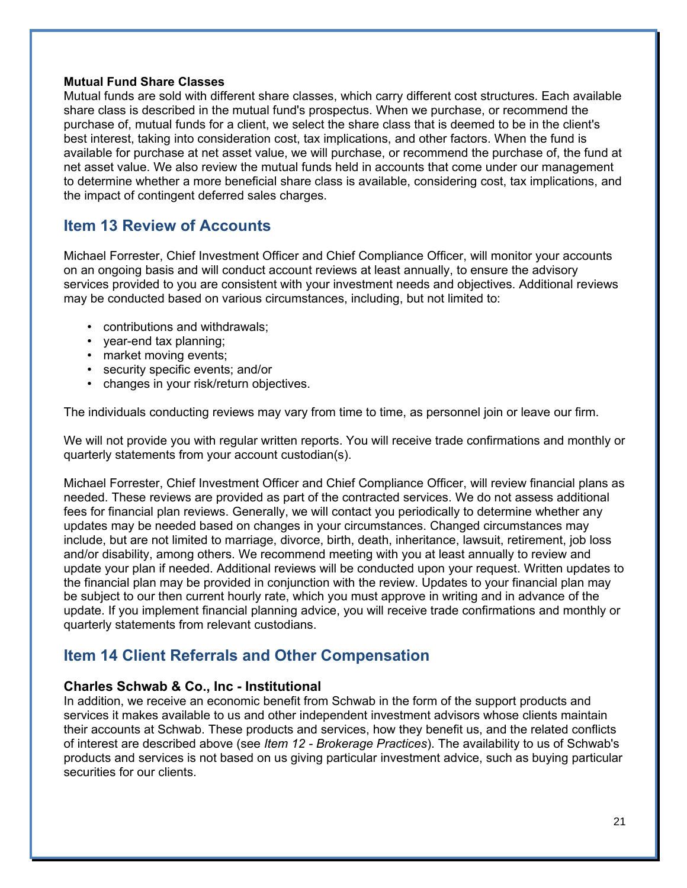### **Mutual Fund Share Classes**

Mutual funds are sold with different share classes, which carry different cost structures. Each available share class is described in the mutual fund's prospectus. When we purchase, or recommend the purchase of, mutual funds for a client, we select the share class that is deemed to be in the client's best interest, taking into consideration cost, tax implications, and other factors. When the fund is available for purchase at net asset value, we will purchase, or recommend the purchase of, the fund at net asset value. We also review the mutual funds held in accounts that come under our management to determine whether a more beneficial share class is available, considering cost, tax implications, and the impact of contingent deferred sales charges.

# **Item 13 Review of Accounts**

Michael Forrester, Chief Investment Officer and Chief Compliance Officer, will monitor your accounts on an ongoing basis and will conduct account reviews at least annually, to ensure the advisory services provided to you are consistent with your investment needs and objectives. Additional reviews may be conducted based on various circumstances, including, but not limited to:

- contributions and withdrawals;
- year-end tax planning;
- market moving events;
- security specific events; and/or
- changes in your risk/return objectives.

The individuals conducting reviews may vary from time to time, as personnel join or leave our firm.

We will not provide you with regular written reports. You will receive trade confirmations and monthly or quarterly statements from your account custodian(s).

Michael Forrester, Chief Investment Officer and Chief Compliance Officer, will review financial plans as needed. These reviews are provided as part of the contracted services. We do not assess additional fees for financial plan reviews. Generally, we will contact you periodically to determine whether any updates may be needed based on changes in your circumstances. Changed circumstances may include, but are not limited to marriage, divorce, birth, death, inheritance, lawsuit, retirement, job loss and/or disability, among others. We recommend meeting with you at least annually to review and update your plan if needed. Additional reviews will be conducted upon your request. Written updates to the financial plan may be provided in conjunction with the review. Updates to your financial plan may be subject to our then current hourly rate, which you must approve in writing and in advance of the update. If you implement financial planning advice, you will receive trade confirmations and monthly or quarterly statements from relevant custodians.

# **Item 14 Client Referrals and Other Compensation**

### **Charles Schwab & Co., Inc - Institutional**

In addition, we receive an economic benefit from Schwab in the form of the support products and services it makes available to us and other independent investment advisors whose clients maintain their accounts at Schwab. These products and services, how they benefit us, and the related conflicts of interest are described above (see *Item 12 - Brokerage Practices*). The availability to us of Schwab's products and services is not based on us giving particular investment advice, such as buying particular securities for our clients.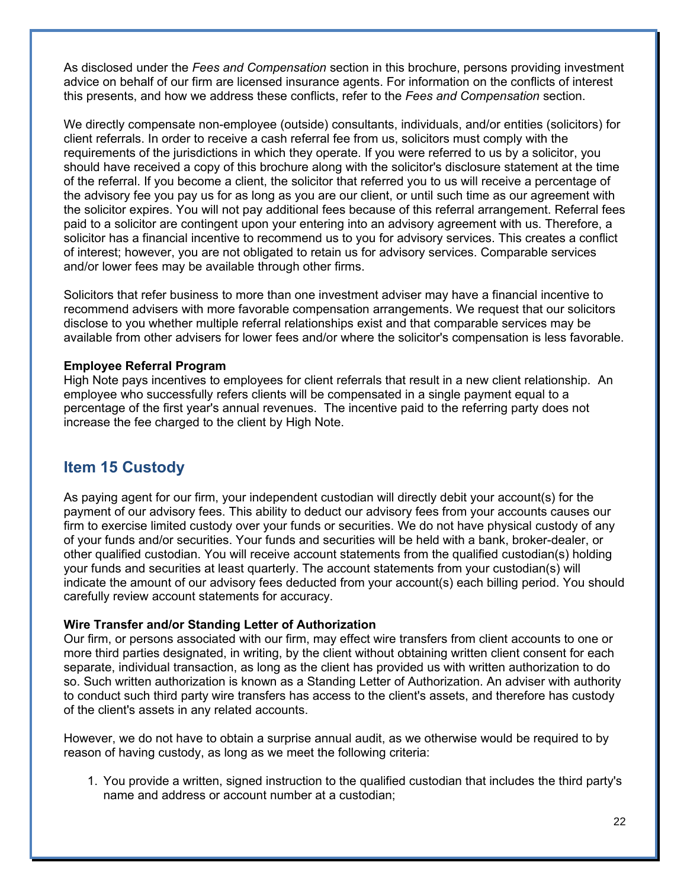As disclosed under the *Fees and Compensation* section in this brochure, persons providing investment advice on behalf of our firm are licensed insurance agents. For information on the conflicts of interest this presents, and how we address these conflicts, refer to the *Fees and Compensation* section.

We directly compensate non-employee (outside) consultants, individuals, and/or entities (solicitors) for client referrals. In order to receive a cash referral fee from us, solicitors must comply with the requirements of the jurisdictions in which they operate. If you were referred to us by a solicitor, you should have received a copy of this brochure along with the solicitor's disclosure statement at the time of the referral. If you become a client, the solicitor that referred you to us will receive a percentage of the advisory fee you pay us for as long as you are our client, or until such time as our agreement with the solicitor expires. You will not pay additional fees because of this referral arrangement. Referral fees paid to a solicitor are contingent upon your entering into an advisory agreement with us. Therefore, a solicitor has a financial incentive to recommend us to you for advisory services. This creates a conflict of interest; however, you are not obligated to retain us for advisory services. Comparable services and/or lower fees may be available through other firms.

Solicitors that refer business to more than one investment adviser may have a financial incentive to recommend advisers with more favorable compensation arrangements. We request that our solicitors disclose to you whether multiple referral relationships exist and that comparable services may be available from other advisers for lower fees and/or where the solicitor's compensation is less favorable.

#### **Employee Referral Program**

High Note pays incentives to employees for client referrals that result in a new client relationship. An employee who successfully refers clients will be compensated in a single payment equal to a percentage of the first year's annual revenues. The incentive paid to the referring party does not increase the fee charged to the client by High Note.

# **Item 15 Custody**

As paying agent for our firm, your independent custodian will directly debit your account(s) for the payment of our advisory fees. This ability to deduct our advisory fees from your accounts causes our firm to exercise limited custody over your funds or securities. We do not have physical custody of any of your funds and/or securities. Your funds and securities will be held with a bank, broker-dealer, or other qualified custodian. You will receive account statements from the qualified custodian(s) holding your funds and securities at least quarterly. The account statements from your custodian(s) will indicate the amount of our advisory fees deducted from your account(s) each billing period. You should carefully review account statements for accuracy.

### **Wire Transfer and/or Standing Letter of Authorization**

Our firm, or persons associated with our firm, may effect wire transfers from client accounts to one or more third parties designated, in writing, by the client without obtaining written client consent for each separate, individual transaction, as long as the client has provided us with written authorization to do so. Such written authorization is known as a Standing Letter of Authorization. An adviser with authority to conduct such third party wire transfers has access to the client's assets, and therefore has custody of the client's assets in any related accounts.

However, we do not have to obtain a surprise annual audit, as we otherwise would be required to by reason of having custody, as long as we meet the following criteria:

1. You provide a written, signed instruction to the qualified custodian that includes the third party's name and address or account number at a custodian;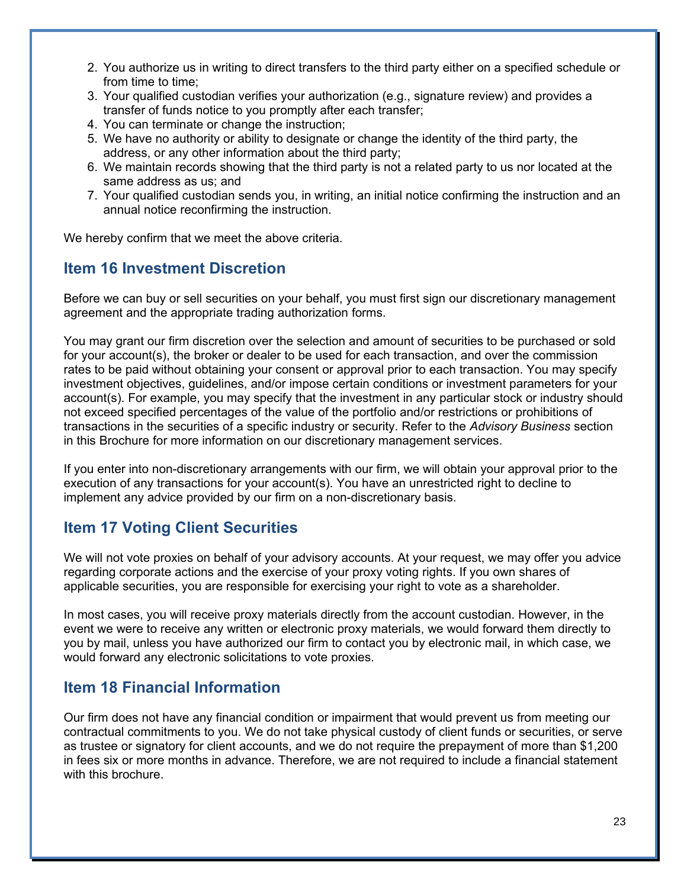- 2. You authorize us in writing to direct transfers to the third party either on a specified schedule or from time to time;
- 3. Your qualified custodian verifies your authorization (e.g., signature review) and provides a transfer of funds notice to you promptly after each transfer;
- 4. You can terminate or change the instruction;
- 5. We have no authority or ability to designate or change the identity of the third party, the address, or any other information about the third party;
- 6. We maintain records showing that the third party is not a related party to us nor located at the same address as us; and
- 7. Your qualified custodian sends you, in writing, an initial notice confirming the instruction and an annual notice reconfirming the instruction.

We hereby confirm that we meet the above criteria.

# **Item 16 Investment Discretion**

Before we can buy or sell securities on your behalf, you must first sign our discretionary management agreement and the appropriate trading authorization forms.

You may grant our firm discretion over the selection and amount of securities to be purchased or sold for your account(s), the broker or dealer to be used for each transaction, and over the commission rates to be paid without obtaining your consent or approval prior to each transaction. You may specify investment objectives, guidelines, and/or impose certain conditions or investment parameters for your account(s). For example, you may specify that the investment in any particular stock or industry should not exceed specified percentages of the value of the portfolio and/or restrictions or prohibitions of transactions in the securities of a specific industry or security. Refer to the *Advisory Business* section in this Brochure for more information on our discretionary management services.

If you enter into non-discretionary arrangements with our firm, we will obtain your approval prior to the execution of any transactions for your account(s). You have an unrestricted right to decline to implement any advice provided by our firm on a non-discretionary basis.

# **Item 17 Voting Client Securities**

We will not vote proxies on behalf of your advisory accounts. At your request, we may offer you advice regarding corporate actions and the exercise of your proxy voting rights. If you own shares of applicable securities, you are responsible for exercising your right to vote as a shareholder.

In most cases, you will receive proxy materials directly from the account custodian. However, in the event we were to receive any written or electronic proxy materials, we would forward them directly to you by mail, unless you have authorized our firm to contact you by electronic mail, in which case, we would forward any electronic solicitations to vote proxies.

# **Item 18 Financial Information**

Our firm does not have any financial condition or impairment that would prevent us from meeting our contractual commitments to you. We do not take physical custody of client funds or securities, or serve as trustee or signatory for client accounts, and we do not require the prepayment of more than \$1,200 in fees six or more months in advance. Therefore, we are not required to include a financial statement with this brochure.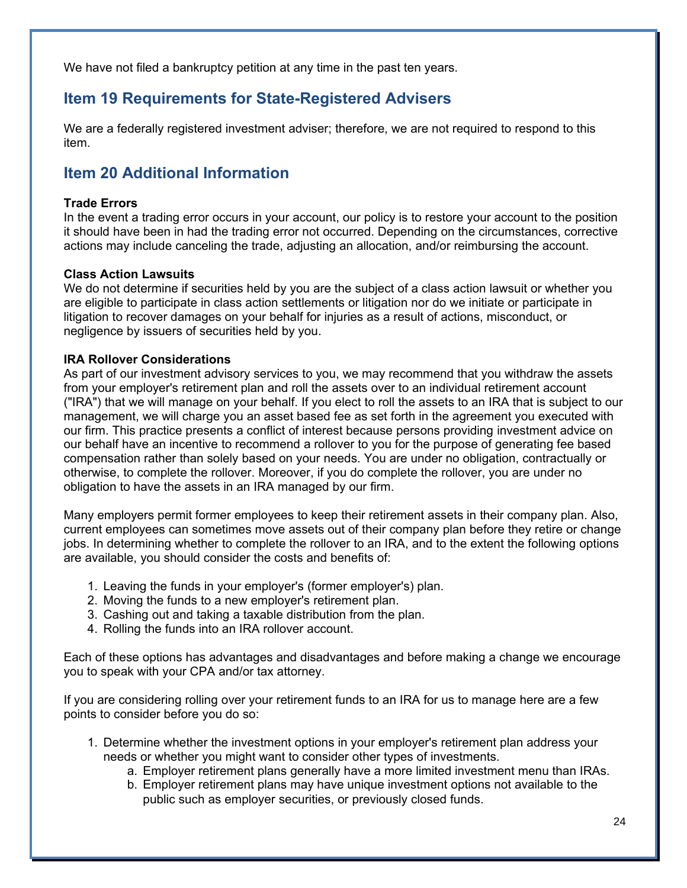We have not filed a bankruptcy petition at any time in the past ten years.

# **Item 19 Requirements for State-Registered Advisers**

We are a federally registered investment adviser; therefore, we are not required to respond to this item.

# **Item 20 Additional Information**

### **Trade Errors**

In the event a trading error occurs in your account, our policy is to restore your account to the position it should have been in had the trading error not occurred. Depending on the circumstances, corrective actions may include canceling the trade, adjusting an allocation, and/or reimbursing the account.

### **Class Action Lawsuits**

We do not determine if securities held by you are the subject of a class action lawsuit or whether you are eligible to participate in class action settlements or litigation nor do we initiate or participate in litigation to recover damages on your behalf for injuries as a result of actions, misconduct, or negligence by issuers of securities held by you.

#### **IRA Rollover Considerations**

As part of our investment advisory services to you, we may recommend that you withdraw the assets from your employer's retirement plan and roll the assets over to an individual retirement account ("IRA") that we will manage on your behalf. If you elect to roll the assets to an IRA that is subject to our management, we will charge you an asset based fee as set forth in the agreement you executed with our firm. This practice presents a conflict of interest because persons providing investment advice on our behalf have an incentive to recommend a rollover to you for the purpose of generating fee based compensation rather than solely based on your needs. You are under no obligation, contractually or otherwise, to complete the rollover. Moreover, if you do complete the rollover, you are under no obligation to have the assets in an IRA managed by our firm.

Many employers permit former employees to keep their retirement assets in their company plan. Also, current employees can sometimes move assets out of their company plan before they retire or change jobs. In determining whether to complete the rollover to an IRA, and to the extent the following options are available, you should consider the costs and benefits of:

- 1. Leaving the funds in your employer's (former employer's) plan.
- 2. Moving the funds to a new employer's retirement plan.
- 3. Cashing out and taking a taxable distribution from the plan.
- 4. Rolling the funds into an IRA rollover account.

Each of these options has advantages and disadvantages and before making a change we encourage you to speak with your CPA and/or tax attorney.

If you are considering rolling over your retirement funds to an IRA for us to manage here are a few points to consider before you do so:

- 1. Determine whether the investment options in your employer's retirement plan address your needs or whether you might want to consider other types of investments.
	- a. Employer retirement plans generally have a more limited investment menu than IRAs.
	- b. Employer retirement plans may have unique investment options not available to the public such as employer securities, or previously closed funds.